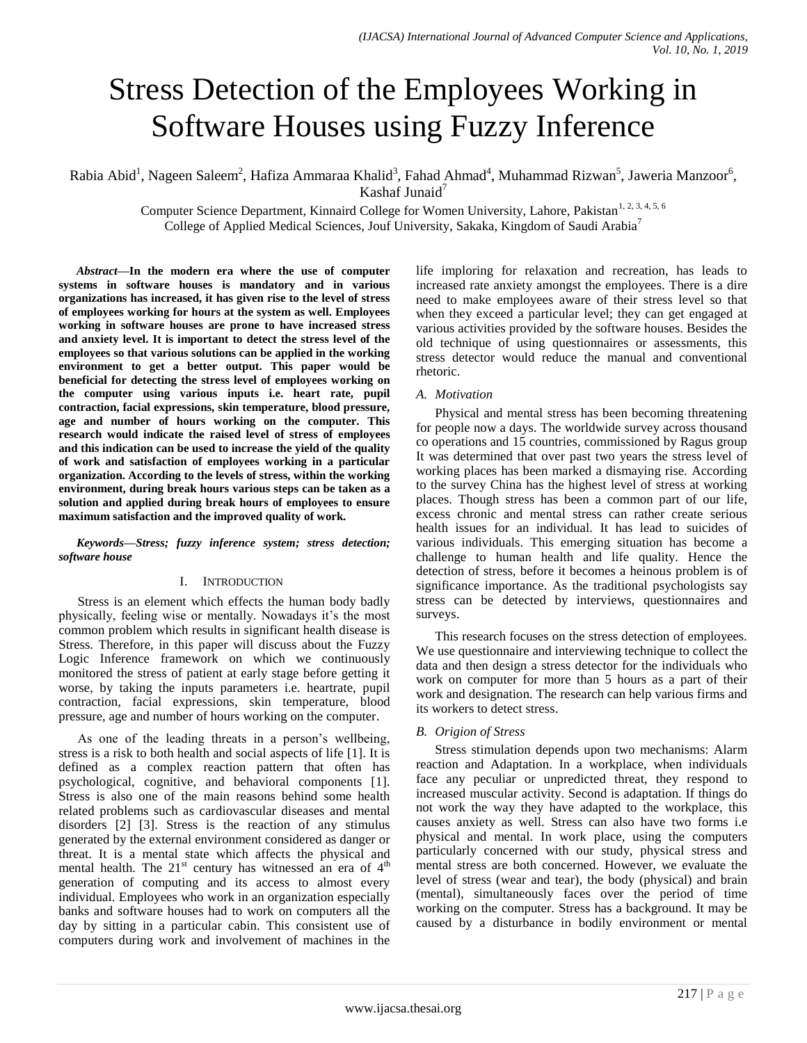# Stress Detection of the Employees Working in Software Houses using Fuzzy Inference

Rabia Abid<sup>1</sup>, Nageen Saleem<sup>2</sup>, Hafiza Ammaraa Khalid<sup>3</sup>, Fahad Ahmad<sup>4</sup>, Muhammad Rizwan<sup>5</sup>, Jaweria Manzoor<sup>6</sup>, Kashaf Junaid $<sup>7</sup>$ </sup>

Computer Science Department, Kinnaird College for Women University, Lahore, Pakistan<sup>1, 2, 3, 4, 5, 6</sup> College of Applied Medical Sciences, Jouf University, Sakaka, Kingdom of Saudi Arabia<sup>7</sup>

*Abstract***—In the modern era where the use of computer systems in software houses is mandatory and in various organizations has increased, it has given rise to the level of stress of employees working for hours at the system as well. Employees working in software houses are prone to have increased stress and anxiety level. It is important to detect the stress level of the employees so that various solutions can be applied in the working environment to get a better output. This paper would be beneficial for detecting the stress level of employees working on the computer using various inputs i.e. heart rate, pupil contraction, facial expressions, skin temperature, blood pressure, age and number of hours working on the computer. This research would indicate the raised level of stress of employees and this indication can be used to increase the yield of the quality of work and satisfaction of employees working in a particular organization. According to the levels of stress, within the working environment, during break hours various steps can be taken as a solution and applied during break hours of employees to ensure maximum satisfaction and the improved quality of work.**

*Keywords—Stress; fuzzy inference system; stress detection; software house*

#### I. INTRODUCTION

Stress is an element which effects the human body badly physically, feeling wise or mentally. Nowadays it's the most common problem which results in significant health disease is Stress. Therefore, in this paper will discuss about the Fuzzy Logic Inference framework on which we continuously monitored the stress of patient at early stage before getting it worse, by taking the inputs parameters i.e. heartrate, pupil contraction, facial expressions, skin temperature, blood pressure, age and number of hours working on the computer.

As one of the leading threats in a person's wellbeing, stress is a risk to both health and social aspects of life [1]. It is defined as a complex reaction pattern that often has psychological, cognitive, and behavioral components [1]. Stress is also one of the main reasons behind some health related problems such as cardiovascular diseases and mental disorders [2] [3]. Stress is the reaction of any stimulus generated by the external environment considered as danger or threat. It is a mental state which affects the physical and mental health. The  $21^{st}$  century has witnessed an era of  $4<sup>th</sup>$ generation of computing and its access to almost every individual. Employees who work in an organization especially banks and software houses had to work on computers all the day by sitting in a particular cabin. This consistent use of computers during work and involvement of machines in the life imploring for relaxation and recreation, has leads to increased rate anxiety amongst the employees. There is a dire need to make employees aware of their stress level so that when they exceed a particular level; they can get engaged at various activities provided by the software houses. Besides the old technique of using questionnaires or assessments, this stress detector would reduce the manual and conventional rhetoric.

#### *A. Motivation*

Physical and mental stress has been becoming threatening for people now a days. The worldwide survey across thousand co operations and 15 countries, commissioned by Ragus group It was determined that over past two years the stress level of working places has been marked a dismaying rise. According to the survey China has the highest level of stress at working places. Though stress has been a common part of our life, excess chronic and mental stress can rather create serious health issues for an individual. It has lead to suicides of various individuals. This emerging situation has become a challenge to human health and life quality. Hence the detection of stress, before it becomes a heinous problem is of significance importance. As the traditional psychologists say stress can be detected by interviews, questionnaires and surveys.

This research focuses on the stress detection of employees. We use questionnaire and interviewing technique to collect the data and then design a stress detector for the individuals who work on computer for more than 5 hours as a part of their work and designation. The research can help various firms and its workers to detect stress.

#### *B. Origion of Stress*

Stress stimulation depends upon two mechanisms: Alarm reaction and Adaptation. In a workplace, when individuals face any peculiar or unpredicted threat, they respond to increased muscular activity. Second is adaptation. If things do not work the way they have adapted to the workplace, this causes anxiety as well. Stress can also have two forms i.e physical and mental. In work place, using the computers particularly concerned with our study, physical stress and mental stress are both concerned. However, we evaluate the level of stress (wear and tear), the body (physical) and brain (mental), simultaneously faces over the period of time working on the computer. Stress has a background. It may be caused by a disturbance in bodily environment or mental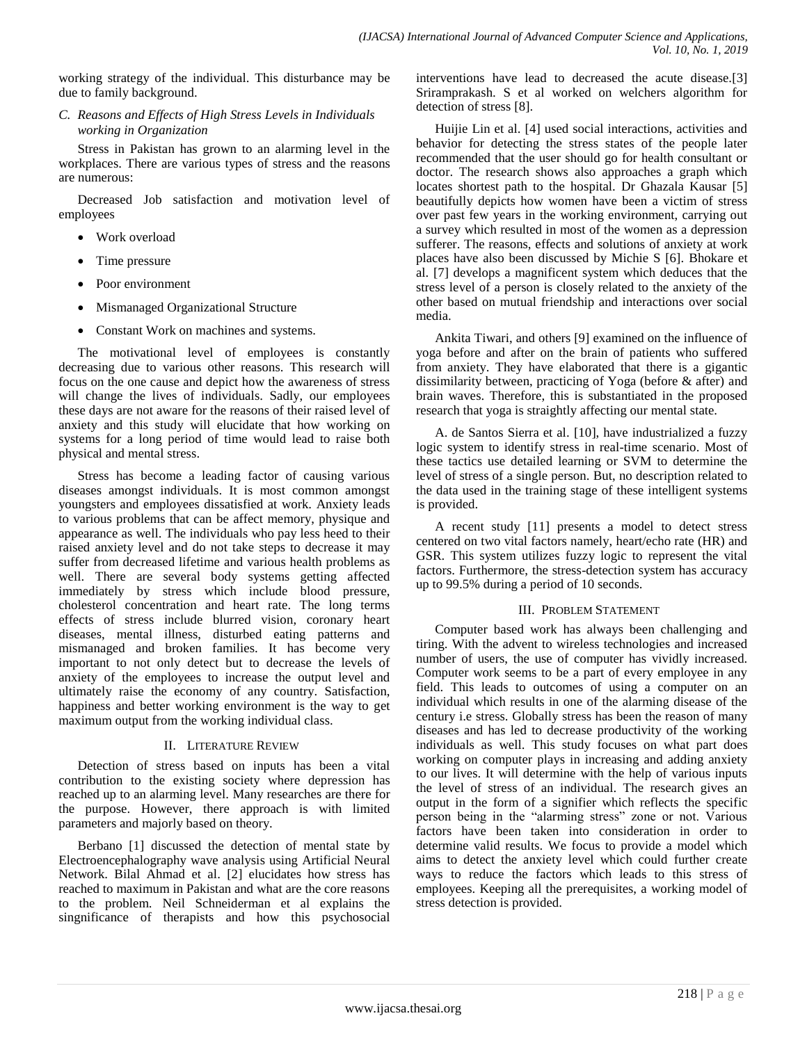working strategy of the individual. This disturbance may be due to family background.

*C. Reasons and Effects of High Stress Levels in Individuals working in Organization*

Stress in Pakistan has grown to an alarming level in the workplaces. There are various types of stress and the reasons are numerous:

Decreased Job satisfaction and motivation level of employees

- Work overload
- Time pressure
- Poor environment
- Mismanaged Organizational Structure
- Constant Work on machines and systems.

The motivational level of employees is constantly decreasing due to various other reasons. This research will focus on the one cause and depict how the awareness of stress will change the lives of individuals. Sadly, our employees these days are not aware for the reasons of their raised level of anxiety and this study will elucidate that how working on systems for a long period of time would lead to raise both physical and mental stress.

Stress has become a leading factor of causing various diseases amongst individuals. It is most common amongst youngsters and employees dissatisfied at work. Anxiety leads to various problems that can be affect memory, physique and appearance as well. The individuals who pay less heed to their raised anxiety level and do not take steps to decrease it may suffer from decreased lifetime and various health problems as well. There are several body systems getting affected immediately by stress which include blood pressure, cholesterol concentration and heart rate. The long terms effects of stress include blurred vision, coronary heart diseases, mental illness, disturbed eating patterns and mismanaged and broken families. It has become very important to not only detect but to decrease the levels of anxiety of the employees to increase the output level and ultimately raise the economy of any country. Satisfaction, happiness and better working environment is the way to get maximum output from the working individual class.

## II. LITERATURE REVIEW

Detection of stress based on inputs has been a vital contribution to the existing society where depression has reached up to an alarming level. Many researches are there for the purpose. However, there approach is with limited parameters and majorly based on theory.

Berbano [1] discussed the detection of mental state by Electroencephalography wave analysis using Artificial Neural Network. Bilal Ahmad et al. [2] elucidates how stress has reached to maximum in Pakistan and what are the core reasons to the problem. Neil Schneiderman et al explains the singnificance of therapists and how this psychosocial interventions have lead to decreased the acute disease.[3] Sriramprakash. S et al worked on welchers algorithm for detection of stress [8].

Huijie Lin et al. [4] used social interactions, activities and behavior for detecting the stress states of the people later recommended that the user should go for health consultant or doctor. The research shows also approaches a graph which locates shortest path to the hospital. Dr Ghazala Kausar [5] beautifully depicts how women have been a victim of stress over past few years in the working environment, carrying out a survey which resulted in most of the women as a depression sufferer. The reasons, effects and solutions of anxiety at work places have also been discussed by Michie S [6]. Bhokare et al. [7] develops a magnificent system which deduces that the stress level of a person is closely related to the anxiety of the other based on mutual friendship and interactions over social media.

Ankita Tiwari, and others [9] examined on the influence of yoga before and after on the brain of patients who suffered from anxiety. They have elaborated that there is a gigantic dissimilarity between, practicing of Yoga (before & after) and brain waves. Therefore, this is substantiated in the proposed research that yoga is straightly affecting our mental state.

A. de Santos Sierra et al. [10], have industrialized a fuzzy logic system to identify stress in real-time scenario. Most of these tactics use detailed learning or SVM to determine the level of stress of a single person. But, no description related to the data used in the training stage of these intelligent systems is provided.

A recent study [11] presents a model to detect stress centered on two vital factors namely, heart/echo rate (HR) and GSR. This system utilizes fuzzy logic to represent the vital factors. Furthermore, the stress-detection system has accuracy up to 99.5% during a period of 10 seconds.

## III. PROBLEM STATEMENT

Computer based work has always been challenging and tiring. With the advent to wireless technologies and increased number of users, the use of computer has vividly increased. Computer work seems to be a part of every employee in any field. This leads to outcomes of using a computer on an individual which results in one of the alarming disease of the century i.e stress. Globally stress has been the reason of many diseases and has led to decrease productivity of the working individuals as well. This study focuses on what part does working on computer plays in increasing and adding anxiety to our lives. It will determine with the help of various inputs the level of stress of an individual. The research gives an output in the form of a signifier which reflects the specific person being in the "alarming stress" zone or not. Various factors have been taken into consideration in order to determine valid results. We focus to provide a model which aims to detect the anxiety level which could further create ways to reduce the factors which leads to this stress of employees. Keeping all the prerequisites, a working model of stress detection is provided.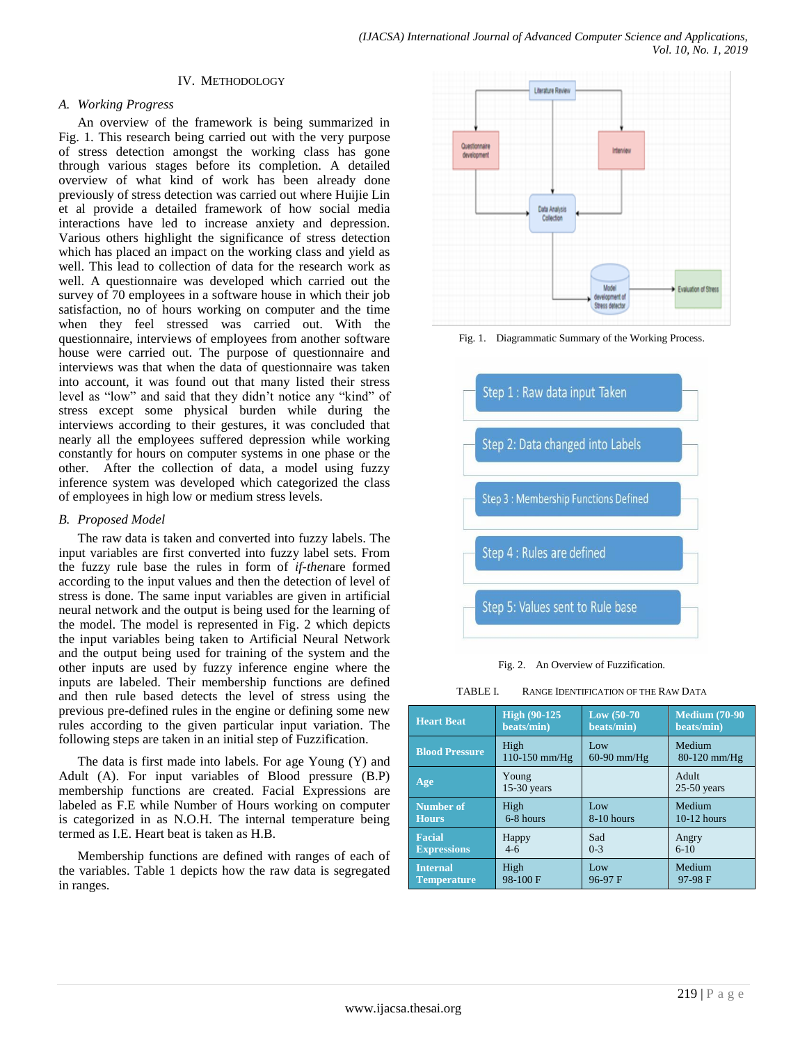#### IV. METHODOLOGY

## *A. Working Progress*

An overview of the framework is being summarized in Fig. 1. This research being carried out with the very purpose of stress detection amongst the working class has gone through various stages before its completion. A detailed overview of what kind of work has been already done previously of stress detection was carried out where Huijie Lin et al provide a detailed framework of how social media interactions have led to increase anxiety and depression. Various others highlight the significance of stress detection which has placed an impact on the working class and yield as well. This lead to collection of data for the research work as well. A questionnaire was developed which carried out the survey of 70 employees in a software house in which their job satisfaction, no of hours working on computer and the time when they feel stressed was carried out. With the questionnaire, interviews of employees from another software house were carried out. The purpose of questionnaire and interviews was that when the data of questionnaire was taken into account, it was found out that many listed their stress level as "low" and said that they didn't notice any "kind" of stress except some physical burden while during the interviews according to their gestures, it was concluded that nearly all the employees suffered depression while working constantly for hours on computer systems in one phase or the other. After the collection of data, a model using fuzzy inference system was developed which categorized the class of employees in high low or medium stress levels.

### *B. Proposed Model*

The raw data is taken and converted into fuzzy labels. The input variables are first converted into fuzzy label sets. From the fuzzy rule base the rules in form of *if-then*are formed according to the input values and then the detection of level of stress is done. The same input variables are given in artificial neural network and the output is being used for the learning of the model. The model is represented in Fig. 2 which depicts the input variables being taken to Artificial Neural Network and the output being used for training of the system and the other inputs are used by fuzzy inference engine where the inputs are labeled. Their membership functions are defined and then rule based detects the level of stress using the previous pre-defined rules in the engine or defining some new rules according to the given particular input variation. The following steps are taken in an initial step of Fuzzification.

The data is first made into labels. For age Young (Y) and Adult (A). For input variables of Blood pressure (B.P) membership functions are created. Facial Expressions are labeled as F.E while Number of Hours working on computer is categorized in as N.O.H. The internal temperature being termed as I.E. Heart beat is taken as H.B.

Membership functions are defined with ranges of each of the variables. Table 1 depicts how the raw data is segregated in ranges.



Fig. 1. Diagrammatic Summary of the Working Process.



Fig. 2. An Overview of Fuzzification.

TABLE I. RANGE IDENTIFICATION OF THE RAW DATA

| <b>Heart Beat</b>     | <b>High (90-125)</b>   | Low $(50-70)$ | <b>Medium (70-90)</b>  |
|-----------------------|------------------------|---------------|------------------------|
|                       | beats/min)             | beats/min)    | beats/min)             |
| <b>Blood Pressure</b> | High                   | Low           | Medium                 |
|                       | 110-150 mm/Hg          | $60-90$ mm/Hg | $80-120$ mm/Hg         |
| Age                   | Young<br>$15-30$ years |               | Adult<br>$25-50$ years |
| <b>Number of</b>      | High                   | Low           | Medium                 |
| <b>Hours</b>          | 6-8 hours              | 8-10 hours    | $10-12$ hours          |
| <b>Facial</b>         | Happy                  | Sad           | Angry                  |
| <b>Expressions</b>    | $4-6$                  | $0 - 3$       | $6-10$                 |
| <b>Internal</b>       | High                   | Low           | Medium                 |
| <b>Temperature</b>    | 98-100F                | 96-97 F       | 97-98 F                |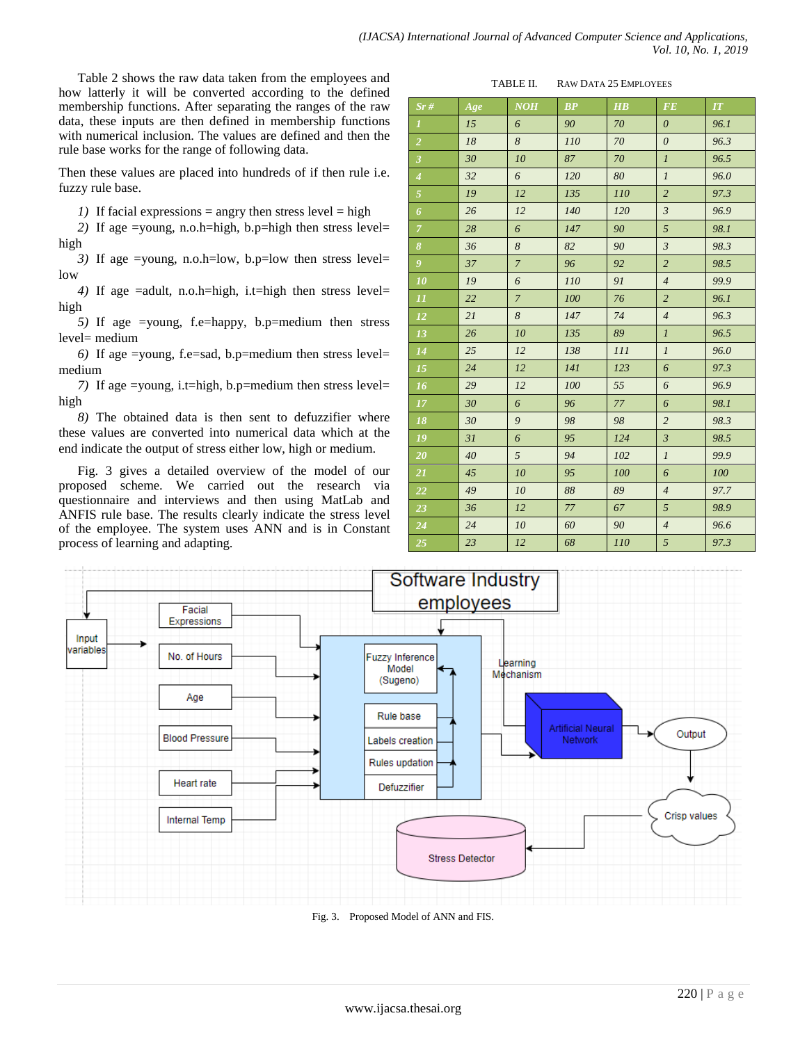Table 2 shows the raw data taken from the employees and how latterly it will be converted according to the defined membership functions. After separating the ranges of the raw data, these inputs are then defined in membership functions with numerical inclusion. The values are defined and then the rule base works for the range of following data.

Then these values are placed into hundreds of if then rule i.e. fuzzy rule base.

*1*) If facial expressions = angry then stress level = high

*2)* If age =young, n.o.h=high, b.p=high then stress level= high

*3)* If age =young, n.o.h=low, b.p=low then stress level= low

*4)* If age =adult, n.o.h=high, i.t=high then stress level= high

*5)* If age =young, f.e=happy, b.p=medium then stress level= medium

*6)* If age =young, f.e=sad, b.p=medium then stress level= medium

*7)* If age =young, i.t=high, b.p=medium then stress level= high

*8)* The obtained data is then sent to defuzzifier where these values are converted into numerical data which at the end indicate the output of stress either low, high or medium.

Fig. 3 gives a detailed overview of the model of our proposed scheme. We carried out the research via questionnaire and interviews and then using MatLab and ANFIS rule base. The results clearly indicate the stress level of the employee. The system uses ANN and is in Constant process of learning and adapting.

TABLE II. RAW DATA 25 EMPLOYEES

| Sr#                     | Age    | NOH                   | BP  | $\overline{H}\overline{B}$ | <b>FE</b>             | IT   |
|-------------------------|--------|-----------------------|-----|----------------------------|-----------------------|------|
| $\boldsymbol{I}$        | 15     | 6                     | 90  | 70                         | $\boldsymbol{\theta}$ | 96.1 |
| $\overline{2}$          | $18\,$ | $\boldsymbol{8}$      | 110 | 70                         | $\boldsymbol{\theta}$ | 96.3 |
| $\overline{\mathbf{3}}$ | 30     | 10                    | 87  | 70                         | $\boldsymbol{l}$      | 96.5 |
| $\overline{4}$          | 32     | $\boldsymbol{\delta}$ | 120 | 80                         | $\cal I$              | 96.0 |
| Ø                       | 19     | 12                    | 135 | 110                        | $\sqrt{2}$            | 97.3 |
| $\boldsymbol{6}$        | 26     | $12$                  | 140 | 120                        | $\boldsymbol{\beta}$  | 96.9 |
| $\overline{7}$          | 28     | 6                     | 147 | 90                         | $\sqrt{5}$            | 98.1 |
| $\boldsymbol{\delta}$   | 36     | $\boldsymbol{8}$      | 82  | 90                         | $\mathfrak{Z}$        | 98.3 |
| $\boldsymbol{g}$        | 37     | $\overline{7}$        | 96  | 92                         | $\overline{c}$        | 98.5 |
| 10                      | 19     | 6                     | 110 | 91                         | $\overline{4}$        | 99.9 |
| $\cal{I}I$              | 22     | $\boldsymbol{7}$      | 100 | 76                         | $\overline{c}$        | 96.1 |
| 12                      | 21     | $\boldsymbol{8}$      | 147 | 74                         | $\overline{4}$        | 96.3 |
| 13                      | 26     | $10\,$                | 135 | 89                         | $\mathfrak{1}$        | 96.5 |
| 14                      | 25     | 12                    | 138 | 111                        | $\mathfrak{1}$        | 96.0 |
| $15\,$                  | 24     | 12                    | 141 | 123                        | $\boldsymbol{\delta}$ | 97.3 |
| 16                      | 29     | 12                    | 100 | 55                         | 6                     | 96.9 |
| 17                      | 30     | 6                     | 96  | 77                         | $\boldsymbol{\delta}$ | 98.1 |
| 18                      | 30     | 9                     | 98  | 98                         | $\overline{c}$        | 98.3 |
| 19                      | 31     | 6                     | 95  | 124                        | $\mathfrak{Z}$        | 98.5 |
| 20                      | 40     | 5                     | 94  | 102                        | $\mathfrak{1}$        | 99.9 |
| 21                      | 45     | 10                    | 95  | 100                        | $\boldsymbol{\delta}$ | 100  |
| $22\,$                  | 49     | 10                    | 88  | 89                         | $\overline{4}$        | 97.7 |
| 23                      | 36     | 12                    | 77  | 67                         | 5                     | 98.9 |
| 24                      | 24     | 10                    | 60  | 90                         | $\overline{4}$        | 96.6 |
| 25                      | 23     | 12                    | 68  | 110                        | $\sqrt{5}$            | 97.3 |



Fig. 3. Proposed Model of ANN and FIS.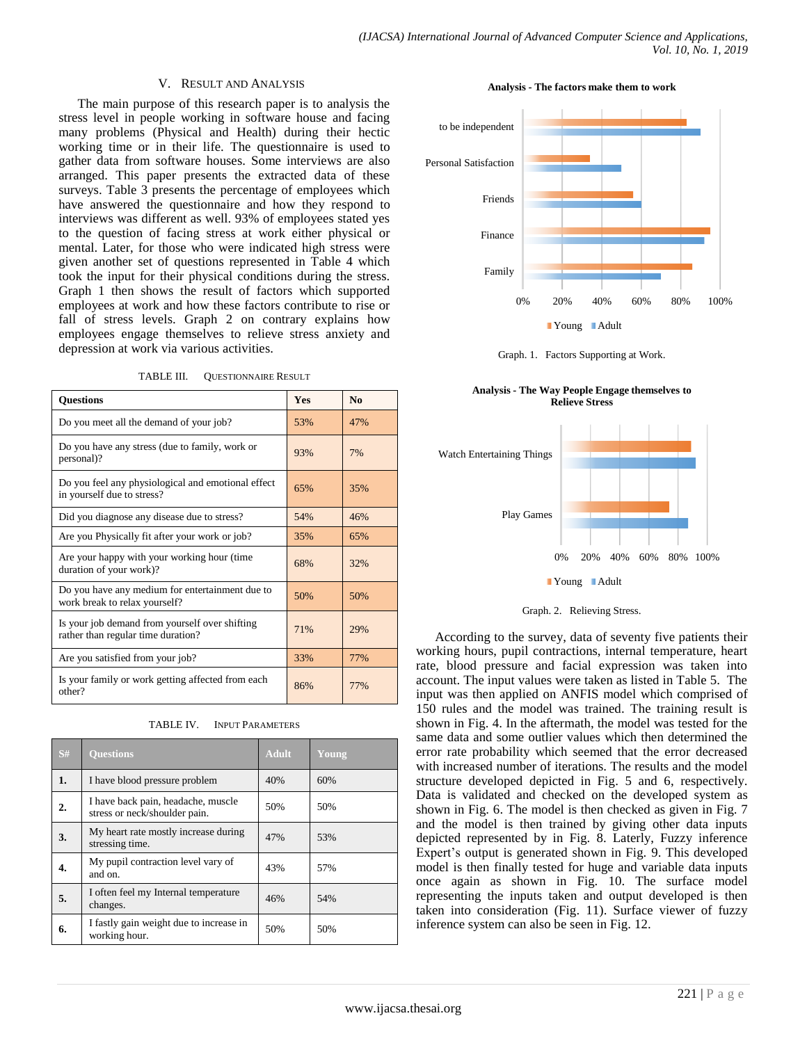#### V. RESULT AND ANALYSIS

The main purpose of this research paper is to analysis the stress level in people working in software house and facing many problems (Physical and Health) during their hectic working time or in their life. The questionnaire is used to gather data from software houses. Some interviews are also arranged. This paper presents the extracted data of these surveys. Table 3 presents the percentage of employees which have answered the questionnaire and how they respond to interviews was different as well. 93% of employees stated yes to the question of facing stress at work either physical or mental. Later, for those who were indicated high stress were given another set of questions represented in Table 4 which took the input for their physical conditions during the stress. Graph 1 then shows the result of factors which supported employees at work and how these factors contribute to rise or fall of stress levels. Graph 2 on contrary explains how employees engage themselves to relieve stress anxiety and depression at work via various activities.

TABLE III. QUESTIONNAIRE RESULT

| <b>Questions</b>                                                                     | <b>Yes</b> | N <sub>0</sub> |
|--------------------------------------------------------------------------------------|------------|----------------|
| Do you meet all the demand of your job?                                              | 53%        | 47%            |
| Do you have any stress (due to family, work or<br>personal)?                         | 93%        | 7%             |
| Do you feel any physiological and emotional effect<br>in yourself due to stress?     | 65%        | 35%            |
| Did you diagnose any disease due to stress?                                          | 54%        | 46%            |
| Are you Physically fit after your work or job?                                       | 35%        | 65%            |
| Are your happy with your working hour (time<br>duration of your work)?               | 68%        | 32%            |
| Do you have any medium for entertainment due to<br>work break to relax yourself?     | 50%        | 50%            |
| Is your job demand from yourself over shifting<br>rather than regular time duration? | 71%        | 29%            |
| Are you satisfied from your job?                                                     | 33%        | 77%            |
| Is your family or work getting affected from each<br>other?                          | 86%        | 77%            |

| TABLE IV. | <b>INPUT PARAMETERS</b> |
|-----------|-------------------------|
|           |                         |

| S# | <b>Ouestions</b>                                                    | <b>Adult</b> | Young |
|----|---------------------------------------------------------------------|--------------|-------|
| 1. | I have blood pressure problem                                       | 40%          | 60%   |
| 2. | I have back pain, headache, muscle<br>stress or neck/shoulder pain. | 50%          | 50%   |
| 3. | My heart rate mostly increase during<br>stressing time.             | 47%          | 53%   |
| 4. | My pupil contraction level vary of<br>and on.                       | 43%          | 57%   |
| 5. | I often feel my Internal temperature<br>changes.                    | 46%          | 54%   |
| 6. | I fastly gain weight due to increase in<br>working hour.            | 50%          | 50%   |

**Analysis - The factors make them to work**



Graph. 1. Factors Supporting at Work.

**Analysis - The Way People Engage themselves to Relieve Stress**



Graph. 2. Relieving Stress.

According to the survey, data of seventy five patients their working hours, pupil contractions, internal temperature, heart rate, blood pressure and facial expression was taken into account. The input values were taken as listed in Table 5. The input was then applied on ANFIS model which comprised of 150 rules and the model was trained. The training result is shown in Fig. 4. In the aftermath, the model was tested for the same data and some outlier values which then determined the error rate probability which seemed that the error decreased with increased number of iterations. The results and the model structure developed depicted in Fig. 5 and 6, respectively. Data is validated and checked on the developed system as shown in Fig. 6. The model is then checked as given in Fig. 7 and the model is then trained by giving other data inputs depicted represented by in Fig. 8. Laterly, Fuzzy inference Expert's output is generated shown in Fig. 9. This developed model is then finally tested for huge and variable data inputs once again as shown in Fig. 10. The surface model representing the inputs taken and output developed is then taken into consideration (Fig. 11). Surface viewer of fuzzy inference system can also be seen in Fig. 12.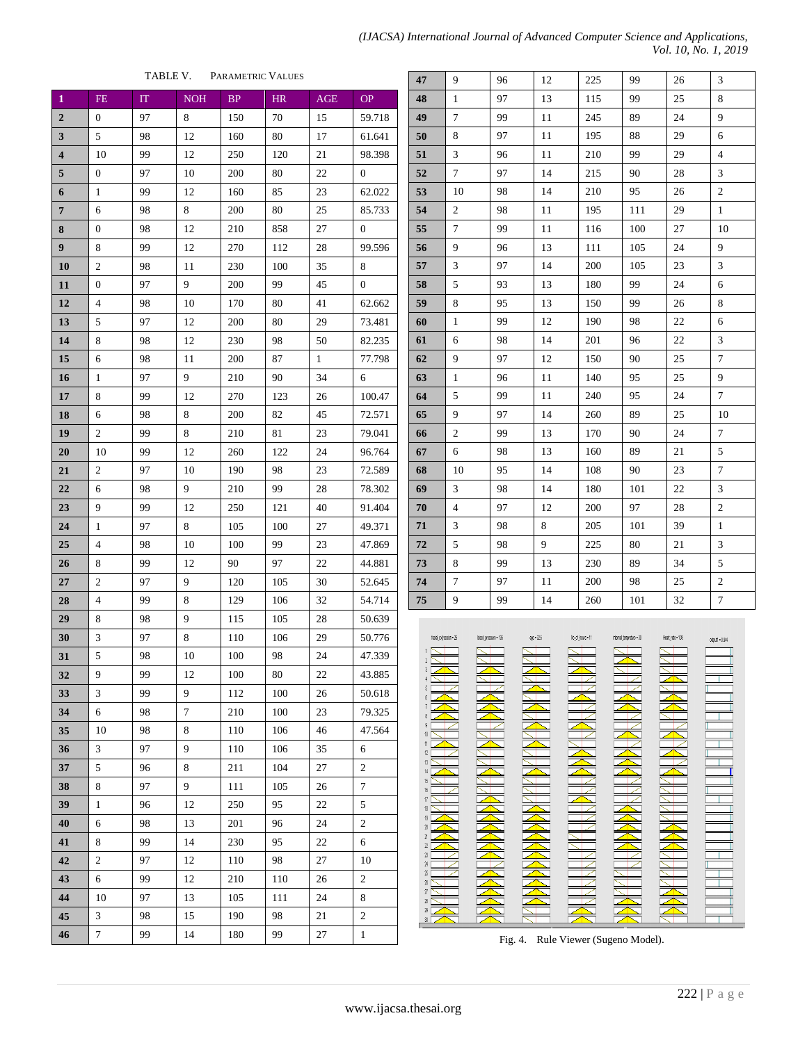| TABLE V.<br>PARAMETRIC VALUES |                  |    |            |          |           |              |                  |
|-------------------------------|------------------|----|------------|----------|-----------|--------------|------------------|
| $\mathbf{1}$                  | <b>FE</b>        | IT | <b>NOH</b> | $\rm BP$ | <b>HR</b> | AGE          | <b>OP</b>        |
| $\boldsymbol{2}$              | 0                | 97 | 8          | 150      | 70        | 15           | 59.718           |
| 3                             | 5                | 98 | 12         | 160      | 80        | 17           | 61.641           |
| 4                             | 10               | 99 | 12         | 250      | 120       | 21           | 98.398           |
| 5                             | 0                | 97 | 10         | 200      | 80        | 22           | 0                |
| 6                             | $\mathbf{1}$     | 99 | 12         | 160      | 85        | 23           | 62.022           |
| $\overline{7}$                | 6                | 98 | 8          | 200      | 80        | 25           | 85.733           |
| 8                             | 0                | 98 | 12         | 210      | 858       | 27           | $\boldsymbol{0}$ |
| 9                             | 8                | 99 | 12         | 270      | 112       | 28           | 99.596           |
| <b>10</b>                     | 2                | 98 | 11         | 230      | 100       | 35           | 8                |
| 11                            | $\boldsymbol{0}$ | 97 | 9          | 200      | 99        | 45           | $\boldsymbol{0}$ |
| 12                            | $\overline{4}$   | 98 | 10         | 170      | 80        | 41           | 62.662           |
| 13                            | 5                | 97 | 12         | 200      | 80        | 29           | 73.481           |
| 14                            | 8                | 98 | 12         | 230      | 98        | 50           | 82.235           |
| 15                            | 6                | 98 | 11         | 200      | 87        | $\mathbf{1}$ | 77.798           |
| 16                            | 1                | 97 | 9          | 210      | 90        | 34           | 6                |
| 17                            | 8                | 99 | 12         | 270      | 123       | 26           | 100.47           |
| 18                            | 6                | 98 | 8          | 200      | 82        | 45           | 72.571           |
| 19                            | 2                | 99 | 8          | 210      | 81        | 23           | 79.041           |
| 20                            | 10               | 99 | 12         | 260      | 122       | 24           | 96.764           |
| 21                            | 2                | 97 | 10         | 190      | 98        | 23           | 72.589           |
| 22                            | 6                | 98 | 9          | 210      | 99        | 28           | 78.302           |
| 23                            | 9                | 99 | 12         | 250      | 121       | 40           | 91.404           |
| 24                            | $\mathbf{1}$     | 97 | 8          | 105      | 100       | 27           | 49.371           |
| 25                            | 4                | 98 | 10         | 100      | 99        | 23           | 47.869           |
| 26                            | 8                | 99 | 12         | 90       | 97        | 22           | 44.881           |
| 27                            | 2                | 97 | 9          | 120      | 105       | 30           | 52.645           |
| 28                            | 4                | 99 | 8          | 129      | 106       | 32           | 54.714           |
| 29                            | 8                | 98 | 9          | 115      | 105       | 28           | 50.639           |
| 30                            | $\mathfrak{Z}$   | 97 | 8          | 110      | 106       | 29           | 50.776           |
| 31                            | 5                | 98 | 10         | 100      | 98        | 24           | 47.339           |
| 32                            | 9                | 99 | 12         | 100      | 80        | 22           | 43.885           |
| 33                            | 3                | 99 | 9          | 112      | 100       | 26           | 50.618           |
| 34                            | 6                | 98 | 7          | 210      | 100       | 23           | 79.325           |
| 35                            | 10               | 98 | 8          | 110      | 106       | 46           | 47.564           |
| 36                            | 3                | 97 | 9          | 110      | 106       | 35           | 6                |
| 37                            | 5                | 96 | 8          | 211      | 104       | 27           | 2                |
| 38                            | 8                | 97 | 9          | 111      | 105       | 26           | 7                |
| 39                            | $\mathbf{1}$     | 96 | 12         | 250      | 95        | 22           | 5                |
| 40                            | 6                | 98 | 13         | 201      | 96        | 24           | $\overline{c}$   |
| 41                            | 8                | 99 | 14         | 230      | 95        | 22           | 6                |
| 42                            | $\mathfrak{2}$   | 97 | 12         | 110      | 98        | 27           | 10               |
| 43                            | 6                | 99 | 12         | 210      | 110       | 26           | 2                |
| 44                            | 10               | 97 | 13         | 105      | 111       | 24           | 8                |
| 45                            | 3                | 98 | 15         | 190      | 98        | 21           | $\mathfrak{2}$   |
| 46                            | $\boldsymbol{7}$ | 99 | 14         | 180      | 99        | 27           | $\,1\,$          |

| (IJACSA) International Journal of Advanced Computer Science and Applications, |                      |  |
|-------------------------------------------------------------------------------|----------------------|--|
|                                                                               | Vol. 10, No. 1, 2019 |  |

| 47               | 9              | 96 | 12 | 225 | 99  | 26 | 3                |  |
|------------------|----------------|----|----|-----|-----|----|------------------|--|
| 48               | $\mathbf{1}$   | 97 | 13 | 115 | 99  | 25 | 8                |  |
| 49               | $\overline{7}$ | 99 | 11 | 245 | 89  | 24 | 9                |  |
| 50               | 8              | 97 | 11 | 195 | 88  | 29 | 6                |  |
| 51               | 3              | 96 | 11 | 210 | 99  | 29 | $\overline{4}$   |  |
| 52               | $\tau$         | 97 | 14 | 215 | 90  | 28 | 3                |  |
| 53               | 10             | 98 | 14 | 210 | 95  | 26 | $\overline{c}$   |  |
| 54               | $\overline{c}$ | 98 | 11 | 195 | 111 | 29 | $\,1$            |  |
| 55               | $\tau$         | 99 | 11 | 116 | 100 | 27 | 10               |  |
| 56               | 9              | 96 | 13 | 111 | 105 | 24 | 9                |  |
| 57               | 3              | 97 | 14 | 200 | 105 | 23 | 3                |  |
| 58               | 5              | 93 | 13 | 180 | 99  | 24 | 6                |  |
| 59               | 8              | 95 | 13 | 150 | 99  | 26 | 8                |  |
| 60               | $\mathbf{1}$   | 99 | 12 | 190 | 98  | 22 | $\sqrt{6}$       |  |
| 61               | 6              | 98 | 14 | 201 | 96  | 22 | 3                |  |
| 62               | 9              | 97 | 12 | 150 | 90  | 25 | $\tau$           |  |
| 63               | $\mathbf{1}$   | 96 | 11 | 140 | 95  | 25 | 9                |  |
| 64               | 5              | 99 | 11 | 240 | 95  | 24 | $\boldsymbol{7}$ |  |
| 65               | 9              | 97 | 14 | 260 | 89  | 25 | 10               |  |
| 66               | $\sqrt{2}$     | 99 | 13 | 170 | 90  | 24 | $\tau$           |  |
| 67               | 6              | 98 | 13 | 160 | 89  | 21 | 5                |  |
| 68               | 10             | 95 | 14 | 108 | 90  | 23 | $\overline{7}$   |  |
| 69               | 3              | 98 | 14 | 180 | 101 | 22 | 3                |  |
| 70               | $\overline{4}$ | 97 | 12 | 200 | 97  | 28 | $\overline{c}$   |  |
| 71               | $\mathfrak{Z}$ | 98 | 8  | 205 | 101 | 39 | $\mathbf{1}$     |  |
| 72               | 5              | 98 | 9  | 225 | 80  | 21 | 3                |  |
| 73               | 8              | 99 | 13 | 230 | 89  | 34 | 5                |  |
| 74               | $\tau$         | 97 | 11 | 200 | 98  | 25 | $\overline{2}$   |  |
| 75               | 9              | 99 | 14 | 260 | 101 | 32 | 7                |  |
| indal achievable |                |    |    |     |     |    |                  |  |

|                                      | tecial_expression = 25 | ldood_pressure = 135 | age = 32.5 | No_of_hours = 11 | internal_tempreture = 39 | Heart_rate = 106 | $\text{output} = 0.944$ |
|--------------------------------------|------------------------|----------------------|------------|------------------|--------------------------|------------------|-------------------------|
|                                      |                        |                      |            |                  |                          |                  |                         |
| $\sqrt{2}$<br>3                      |                        |                      |            |                  |                          |                  |                         |
|                                      |                        |                      |            |                  |                          |                  |                         |
| 5                                    |                        |                      |            |                  |                          |                  |                         |
| $\boldsymbol{\delta}$                |                        |                      |            |                  |                          |                  |                         |
| 8                                    |                        |                      |            |                  |                          |                  |                         |
| 9                                    |                        |                      |            |                  |                          |                  |                         |
| $10\,$<br>$\uparrow$                 |                        |                      |            |                  |                          |                  |                         |
| 12                                   |                        |                      |            |                  |                          |                  |                         |
| 13<br>14                             |                        |                      |            |                  |                          |                  |                         |
| 15                                   |                        |                      |            |                  |                          |                  |                         |
| 16                                   |                        |                      |            |                  |                          |                  |                         |
| $\ensuremath{\mathcal{V}}$<br>$18\,$ |                        |                      |            |                  |                          |                  |                         |
| 19                                   |                        |                      |            |                  |                          |                  |                         |
| $20\,$                               |                        |                      |            |                  |                          |                  |                         |
| $\overline{\mathbf{2}}$<br>$\it 2$   |                        |                      |            |                  |                          |                  |                         |
| $2\!\!3$                             |                        |                      |            |                  |                          |                  |                         |
| $\boldsymbol{\mathcal{U}}$           |                        |                      |            |                  |                          |                  |                         |
| $\rm{Z}$<br>$\mathfrak{B}$           |                        |                      |            |                  |                          |                  |                         |
| $\overline{\mathcal{U}}$             |                        |                      |            |                  |                          |                  |                         |
| $2\hbar$<br>$2\hskip-3.5pt\beta$     |                        |                      |            |                  |                          |                  |                         |
| $\mathfrak{A}$                       |                        |                      |            |                  |                          |                  |                         |
|                                      |                        |                      |            |                  |                          |                  |                         |

Fig. 4. Rule Viewer (Sugeno Model).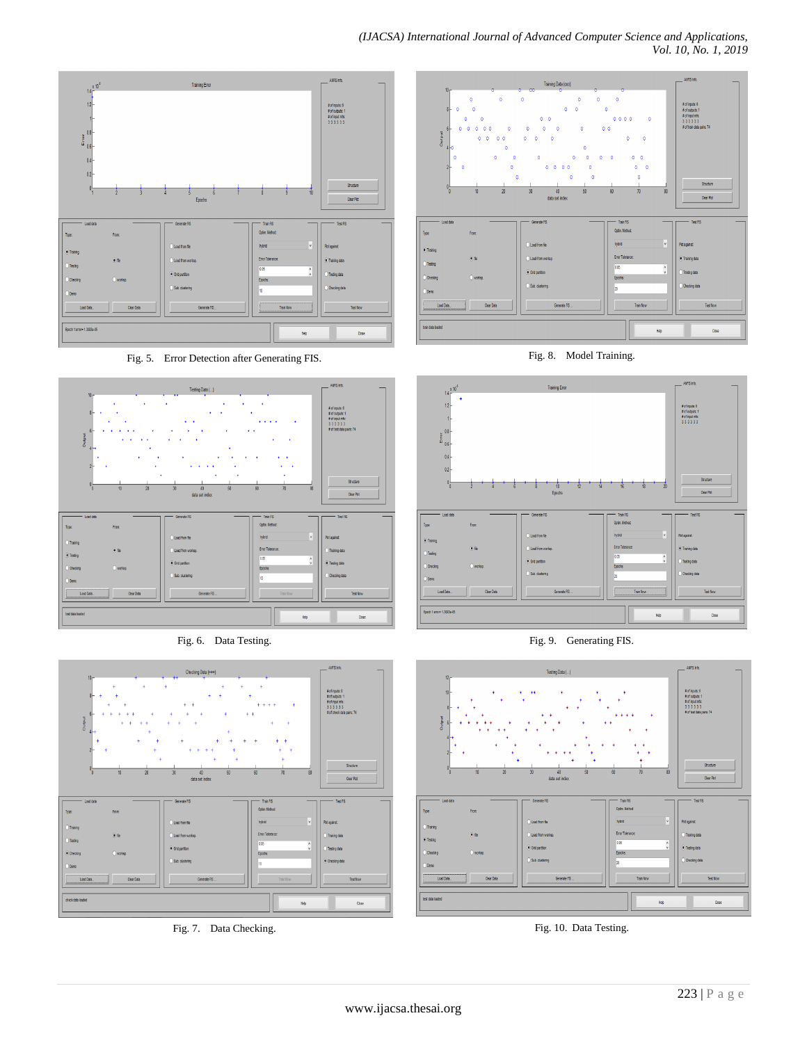## *(IJACSA) International Journal of Advanced Computer Science and Applications, Vol. 10, No. 1, 2019*



Fig. 5. Error Detection after Generating FIS.



Fig. 6. Data Testing.



Fig. 7. Data Checking.



Fig. 8. Model Training.



Fig. 9. Generating FIS.



Fig. 10. Data Testing.